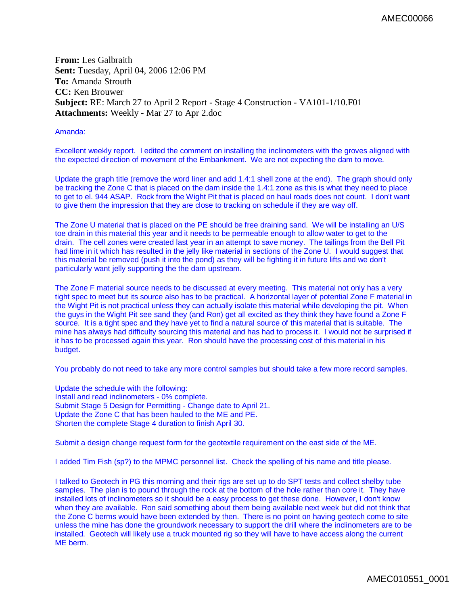**From:** Les Galbraith **Sent:** Tuesday, April 04, 2006 12:06 PM **To:** Amanda Strouth **CC:** Ken Brouwer **Subject:** RE: March 27 to April 2 Report - Stage 4 Construction - VA101-1/10.F01 **Attachments:** Weekly - Mar 27 to Apr 2.doc

Amanda:

Excellent weekly report. I edited the comment on installing the inclinometers with the groves aligned with the expected direction of movement of the Embankment. We are not expecting the dam to move.

Update the graph title (remove the word liner and add 1.4:1 shell zone at the end). The graph should only be tracking the Zone C that is placed on the dam inside the 1.4:1 zone as this is what they need to place to get to el. 944 ASAP. Rock from the Wight Pit that is placed on haul roads does not count. I don't want to give them the impression that they are close to tracking on schedule if they are way off.

The Zone U material that is placed on the PE should be free draining sand. We will be installing an U/S toe drain in this material this year and it needs to be permeable enough to allow water to get to the drain. The cell zones were created last year in an attempt to save money. The tailings from the Bell Pit had lime in it which has resulted in the jelly like material in sections of the Zone U. I would suggest that this material be removed (push it into the pond) as they will be fighting it in future lifts and we don't particularly want jelly supporting the the dam upstream.

The Zone F material source needs to be discussed at every meeting. This material not only has a very tight spec to meet but its source also has to be practical. A horizontal layer of potential Zone F material in the Wight Pit is not practical unless they can actually isolate this material while developing the pit. When the guys in the Wight Pit see sand they (and Ron) get all excited as they think they have found a Zone F source. It is a tight spec and they have yet to find a natural source of this material that is suitable. The mine has always had difficulty sourcing this material and has had to process it. I would not be surprised if it has to be processed again this year. Ron should have the processing cost of this material in his budget.

You probably do not need to take any more control samples but should take a few more record samples.

Update the schedule with the following: Install and read inclinometers - 0% complete. Submit Stage 5 Design for Permitting - Change date to April 21. Update the Zone C that has been hauled to the ME and PE. Shorten the complete Stage 4 duration to finish April 30.

Submit a design change request form for the geotextile requirement on the east side of the ME.

I added Tim Fish (sp?) to the MPMC personnel list. Check the spelling of his name and title please.

I talked to Geotech in PG this morning and their rigs are set up to do SPT tests and collect shelby tube samples. The plan is to pound through the rock at the bottom of the hole rather than core it. They have installed lots of inclinometers so it should be a easy process to get these done. However, I don't know when they are available. Ron said something about them being available next week but did not think that the Zone C berms would have been extended by then. There is no point on having geotech come to site unless the mine has done the groundwork necessary to support the drill where the inclinometers are to be installed. Geotech will likely use a truck mounted rig so they will have to have access along the current ME berm.